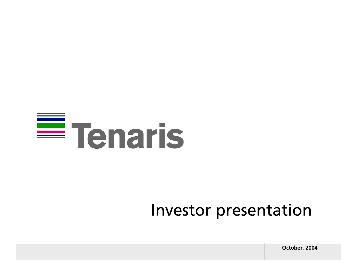# $\equiv$  Tenaris

### Investor presentation

**October, 2004**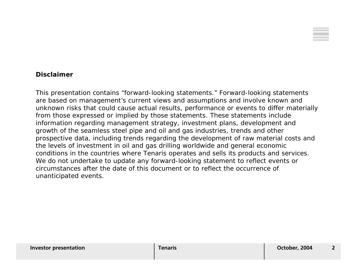

#### **Disclaimer**

This presentation contains "forward-looking statements." Forward-looking statements are based on management's current views and assumptions and involve known and unknown risks that could cause actual results, performance or events to differ materially from those expressed or implied by those statements. These statements include information regarding management strategy, investment plans, development and growth of the seamless steel pipe and oil and gas industries, trends and other prospective data, including trends regarding the development of raw material costs and the levels of investment in oil and gas drilling worldwide and general economic conditions in the countries where Tenaris operates and sells its products and services. We do not undertake to update any forward-looking statement to reflect events or circumstances after the date of this document or to reflect the occurrence ofunanticipated events.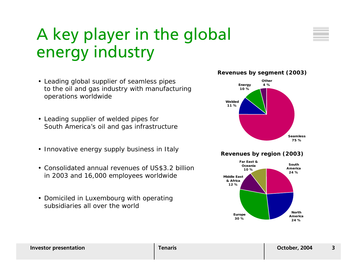### A key player in the global energy industry

- Leading global supplier of seamless pipes to the oil and gas industry with manufacturing operations worldwide
- Leading supplier of welded pipes for South America's oil and gas infrastructure
- Innovative energy supply business in Italy
- Consolidated annual revenues of US\$3.2 billion in 2003 and 16,000 employees worldwide
- Domiciled in Luxembourg with operating subsidiaries all over the world



#### **Revenues by region (2003)**

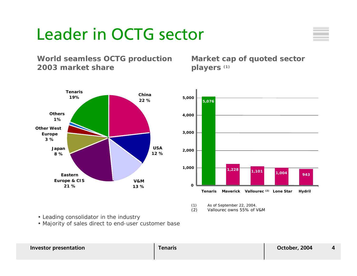### Leader in OCTG sector



### **World seamless OCTG production 2003 market share**

**Market cap of quoted sector players (1)**





<sup>(1)</sup> As of September 22, 2004.

(2) Vallourec owns 55% of V&M

- Leading consolidator in the industry
- Majority of sales direct to end-user customer base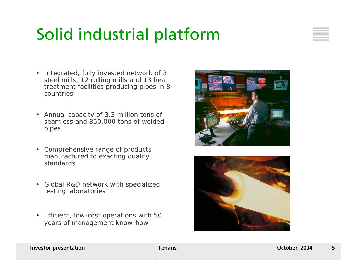### Solid industrial platform



- Integrated, fully invested network of 3 steel mills, 12 rolling mills and 13 heat treatment facilities producing pipes in 8 countries
- Annual capacity of 3.3 million tons of seamless and 850,000 tons of welded pipes
- Comprehensive range of products manufactured to exacting quality standards
- Global R&D network with specialized testing laboratories
- Efficient, low-cost operations with 50 years of management know-how



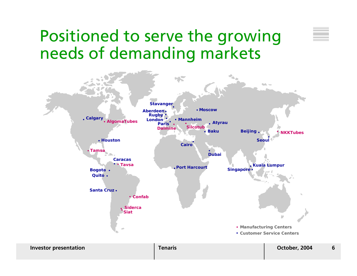### Positioned to serve the growing needs of demanding markets

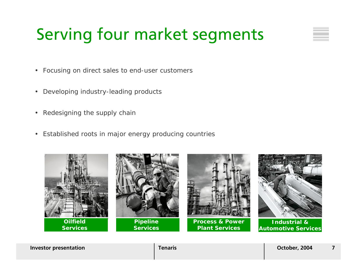### Serving four market segments

- Focusing on direct sales to end-user customers
- Developing industry-leading products
- •Redesigning the supply chain
- Established roots in major energy producing countries



**Investor presentation Tenaris Tenaris Property 1004 7**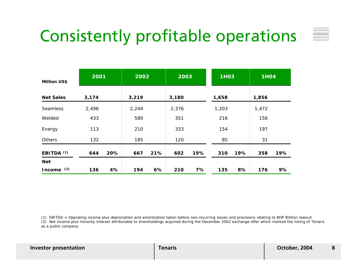### Consistently profitable operations

|                       | 2001  |     | 2002  |     | 2003  |     | <b>1H03</b> |     | <b>1H04</b> |     |
|-----------------------|-------|-----|-------|-----|-------|-----|-------------|-----|-------------|-----|
| <b>Million US\$</b>   |       |     |       |     |       |     |             |     |             |     |
| <b>Net Sales</b>      | 3,174 |     | 3,219 |     | 3,180 |     | 1,658       |     | 1,856       |     |
| Seamless              | 2,496 |     | 2,244 |     | 2,376 |     | 1,203       |     | 1,472       |     |
| Welded                | 433   |     | 580   |     | 351   |     | 216         |     | 156         |     |
| Energy                | 113   |     | 210   |     | 333   |     | 154         |     | 197         |     |
| Others                | 132   |     | 185   |     | 120   |     | 85          |     | 31          |     |
| EBITDA <sup>(1)</sup> | 644   | 20% | 667   | 21% | 602   | 19% | 310         | 19% | 358         | 19% |
| Net                   |       |     |       |     |       |     |             |     |             |     |
| Income $(2)$          | 136   | 4%  | 194   | 6%  | 210   | 7%  | 135         | 8%  | 176         | 9%  |

(1) EBITDA = Operating income plus depreciation and amortization taken before non-recurring losses and provisions relating to BHP Billiton lawsuit

(2) Net income plus minority interest attributable to shareholdings acquired during the December 2002 exchange offer which marked the listing of Tenaris as a public company

| <b>Investor presentation</b> |
|------------------------------|
|                              |
|                              |

 $\sim$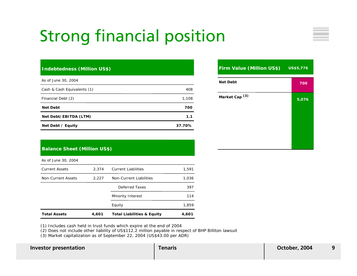### Strong financial position

#### **Indebtedness (Million US\$)**

| As of June 30, 2004         |        |
|-----------------------------|--------|
| Cash & Cash Equivalents (1) | 408    |
| Financial Debt (2)          | 1,108  |
| <b>Net Debt</b>             | 700    |
| Net Debt/EBITDA (LTM)       | 1.1    |
| Net Debt / Equity           | 37.70% |

#### **Firm Value (Million US\$) US\$5,776**

| <b>Net Debt</b><br>$\sim$ | 700   |
|---------------------------|-------|
| Market Cap <sup>(3)</sup> | 5,076 |
|                           |       |
|                           |       |
|                           |       |

#### **Balance Sheet (Million US\$)**

As of June 30, 2004

| <b>Total Assets</b>   | 4,601 | <b>Total Liabilities &amp; Equity</b> | 4,601 |
|-----------------------|-------|---------------------------------------|-------|
|                       |       | Equity                                | 1,859 |
|                       |       | Minority Interest                     | 114   |
|                       |       | Deferred Taxes                        | 397   |
| Non-Current Assets    | 2,227 | Non-Current Liabilities               | 1,036 |
| <b>Current Assets</b> | 2.374 | <b>Current Liabilities</b>            | 1,591 |

(1) Includes cash held in trust funds which expire at the end of 2004

(2) Does not include other liability of US\$112.2 million payable in respect of BHP Billiton lawsuit

(3) Market capitalization as of September 22, 2004 (US\$43.00 per ADR)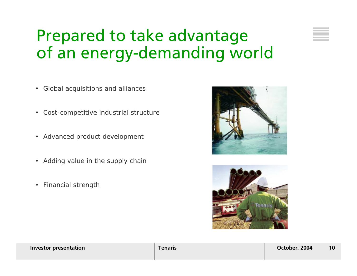### Prepared to take advantage of an energy-demanding world

- Global acquisitions and alliances
- •Cost-competitive industrial structure
- Advanced product development
- Adding value in the supply chain
- •Financial strength



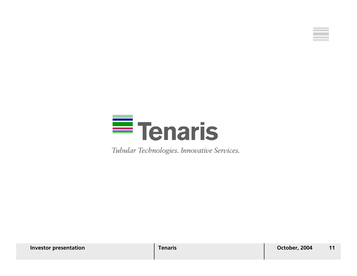



Tubular Technologies. Innovative Services.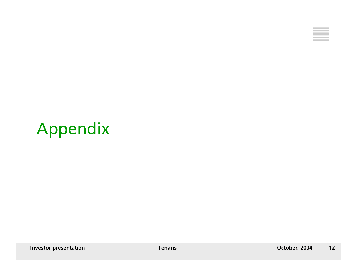

### Appendix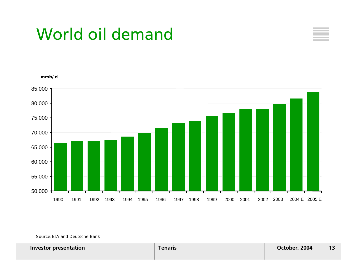### World oil demand





Source:EIA and Deutsche Bank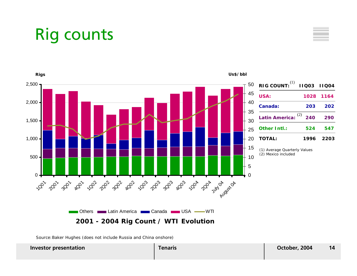### Rig counts



Source:Baker Hughes (does not include Russia and China onshore)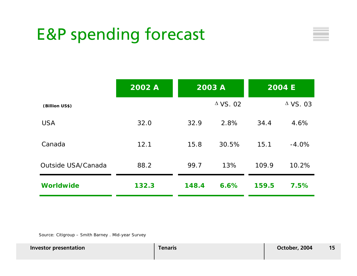### E&P spending forecast



|                    | 2002 A | 2003 A |                 |       | <b>2004 E</b>   |
|--------------------|--------|--------|-----------------|-------|-----------------|
| (Billion US\$)     |        |        | $\Delta$ VS. 02 |       | $\Delta$ VS. 03 |
| <b>USA</b>         | 32.0   | 32.9   | 2.8%            | 34.4  | 4.6%            |
| Canada             | 12.1   | 15.8   | 30.5%           | 15.1  | $-4.0%$         |
| Outside USA/Canada | 88.2   | 99.7   | 13%             | 109.9 | 10.2%           |
| <b>Worldwide</b>   | 132.3  | 148.4  | 6.6%            | 159.5 | 7.5%            |

Source: Citigroup – Smith Barney . Mid-year Survey

**Investor presentation Tenaris Tenaris October, 2004 15**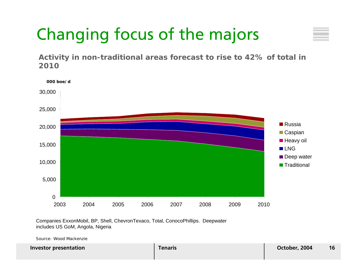## Changing focus of the majors

**Activity in non-traditional areas forecast to rise to 42% of total in 2010**



Companies ExxonMobil, BP, Shell, ChevronTexaco, Total, ConocoPhillips. Deepwater includes US GoM, Angola, Nigeria

Source: Wood Mackenzie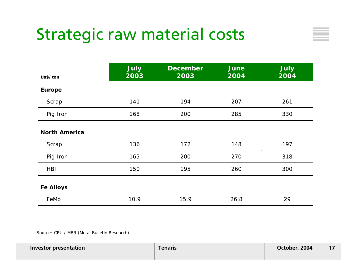### Strategic raw material costs

| Us\$/ton             | <b>July</b><br>2003 | <b>December</b><br>2003 | <b>June</b><br>2004 | <b>July</b><br>2004 |
|----------------------|---------------------|-------------------------|---------------------|---------------------|
| <b>Europe</b>        |                     |                         |                     |                     |
| Scrap                | 141                 | 194                     | 207                 | 261                 |
| Pig Iron             | 168                 | 200                     | 285                 | 330                 |
| <b>North America</b> |                     |                         |                     |                     |
| Scrap                | 136                 | 172                     | 148                 | 197                 |
| Pig Iron             | 165                 | 200                     | 270                 | 318                 |
| <b>HBI</b>           | 150                 | 195                     | 260                 | 300                 |
| <b>Fe Alloys</b>     |                     |                         |                     |                     |
| FeMo                 | 10.9                | 15.9                    | 26.8                | 29                  |

Source: CRU / MBR (Metal Bulletin Research)

| <b>Investor presentation</b> | Tenaris | October, 2004 |  |
|------------------------------|---------|---------------|--|
|                              |         |               |  |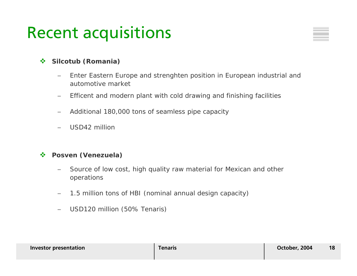### Recent acquisitions

#### $\frac{1}{2}$ **Silcotub (Romania)**

- − Enter Eastern Europe and strenghten position in European industrial and automotive market
- −Efficent and modern plant with cold drawing and finishing facilities
- −Additional 180,000 tons of seamless pipe capacity
- USD42 million

#### $\mathcal{L}(\mathbf{r})$ **Posven (Venezuela)**

- Source of low cost, high quality raw material for Mexican and other operations
- −1.5 million tons of HBI (nominal annual design capacity)
- −USD120 million (50% Tenaris)